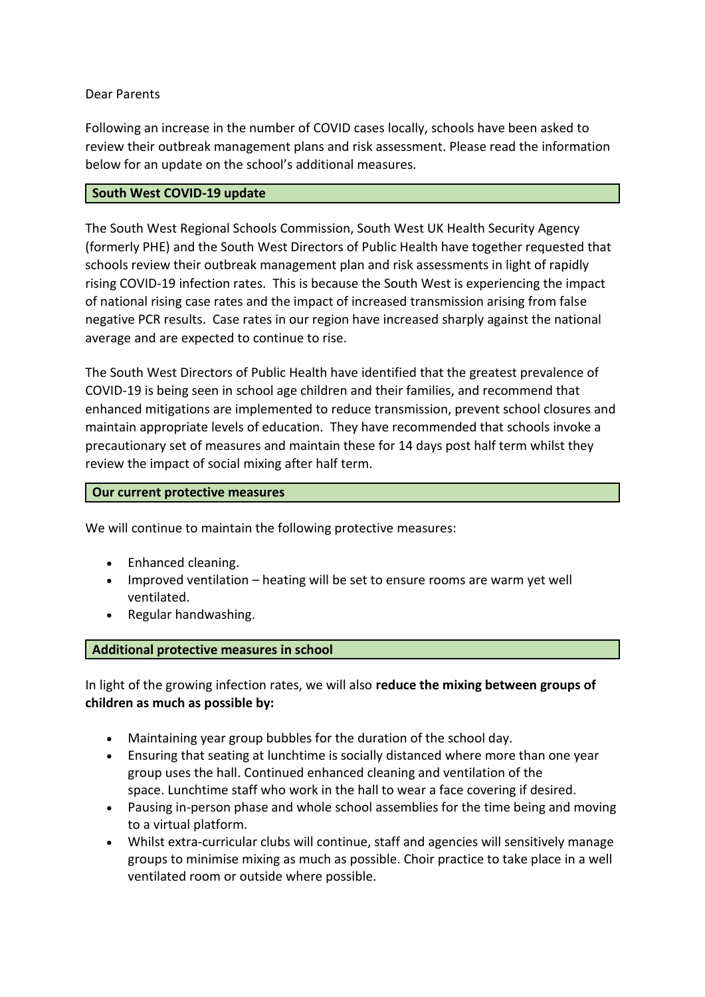# Dear Parents

Following an increase in the number of COVID cases locally, schools have been asked to review their outbreak management plans and risk assessment. Please read the information below for an update on the school's additional measures.

### **South West COVID-19 update**

The South West Regional Schools Commission, South West UK Health Security Agency (formerly PHE) and the South West Directors of Public Health have together requested that schools review their outbreak management plan and risk assessments in light of rapidly rising COVID-19 infection rates. This is because the South West is experiencing the impact of national rising case rates and the impact of increased transmission arising from false negative PCR results. Case rates in our region have increased sharply against the national average and are expected to continue to rise.

The South West Directors of Public Health have identified that the greatest prevalence of COVID-19 is being seen in school age children and their families, and recommend that enhanced mitigations are implemented to reduce transmission, prevent school closures and maintain appropriate levels of education. They have recommended that schools invoke a precautionary set of measures and maintain these for 14 days post half term whilst they review the impact of social mixing after half term.

#### **Our current protective measures**

We will continue to maintain the following protective measures:

- Enhanced cleaning.
- Improved ventilation heating will be set to ensure rooms are warm yet well ventilated.
- Regular handwashing.

### **Additional protective measures in school**

In light of the growing infection rates, we will also **reduce the mixing between groups of children as much as possible by:**

- Maintaining year group bubbles for the duration of the school day.
- Ensuring that seating at lunchtime is socially distanced where more than one year group uses the hall. Continued enhanced cleaning and ventilation of the space. Lunchtime staff who work in the hall to wear a face covering if desired.
- Pausing in-person phase and whole school assemblies for the time being and moving to a virtual platform.
- Whilst extra-curricular clubs will continue, staff and agencies will sensitively manage groups to minimise mixing as much as possible. Choir practice to take place in a well ventilated room or outside where possible.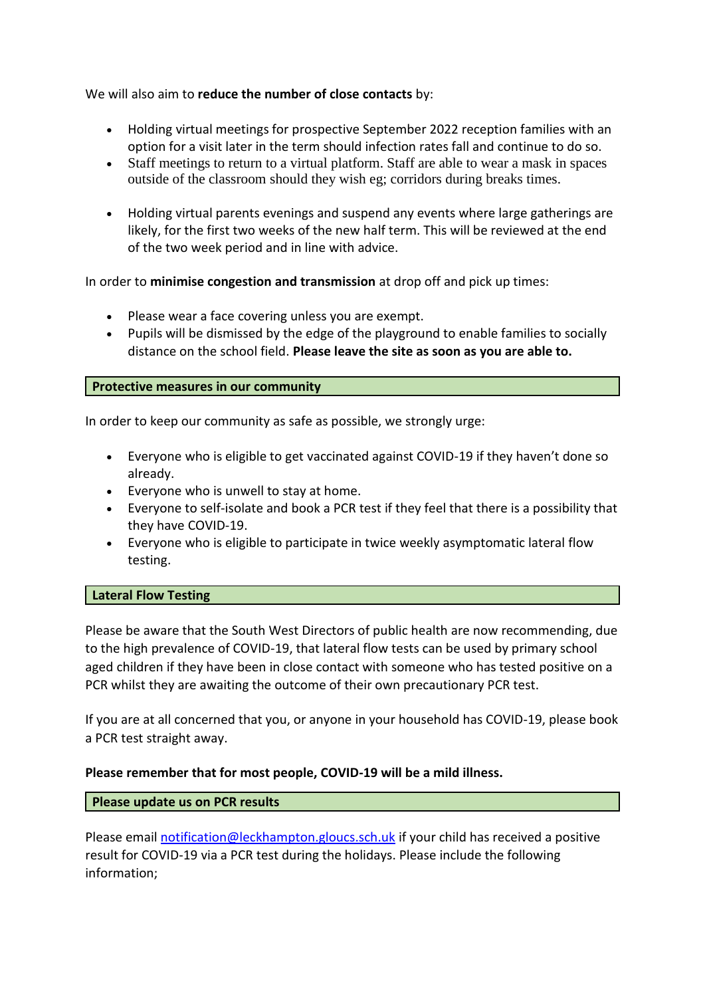We will also aim to **reduce the number of close contacts** by:

- Holding virtual meetings for prospective September 2022 reception families with an option for a visit later in the term should infection rates fall and continue to do so.
- Staff meetings to return to a virtual platform. Staff are able to wear a mask in spaces outside of the classroom should they wish eg; corridors during breaks times.
- Holding virtual parents evenings and suspend any events where large gatherings are likely, for the first two weeks of the new half term. This will be reviewed at the end of the two week period and in line with advice.

In order to **minimise congestion and transmission** at drop off and pick up times:

- Please wear a face covering unless you are exempt.
- Pupils will be dismissed by the edge of the playground to enable families to socially distance on the school field. **Please leave the site as soon as you are able to.**

# **Protective measures in our community**

In order to keep our community as safe as possible, we strongly urge:

- Everyone who is eligible to get vaccinated against COVID-19 if they haven't done so already.
- Everyone who is unwell to stay at home.
- Everyone to self-isolate and book a PCR test if they feel that there is a possibility that they have COVID-19.
- Everyone who is eligible to participate in twice weekly asymptomatic lateral flow testing.

### **Lateral Flow Testing**

Please be aware that the South West Directors of public health are now recommending, due to the high prevalence of COVID-19, that lateral flow tests can be used by primary school aged children if they have been in close contact with someone who has tested positive on a PCR whilst they are awaiting the outcome of their own precautionary PCR test.

If you are at all concerned that you, or anyone in your household has COVID-19, please book a PCR test straight away.

### **Please remember that for most people, COVID-19 will be a mild illness.**

### **Please update us on PCR results**

Please email [notification@leckhampton.gloucs.sch.uk](mailto:notification@leckhampton.gloucs.sch.uk) if your child has received a positive result for COVID-19 via a PCR test during the holidays. Please include the following information;